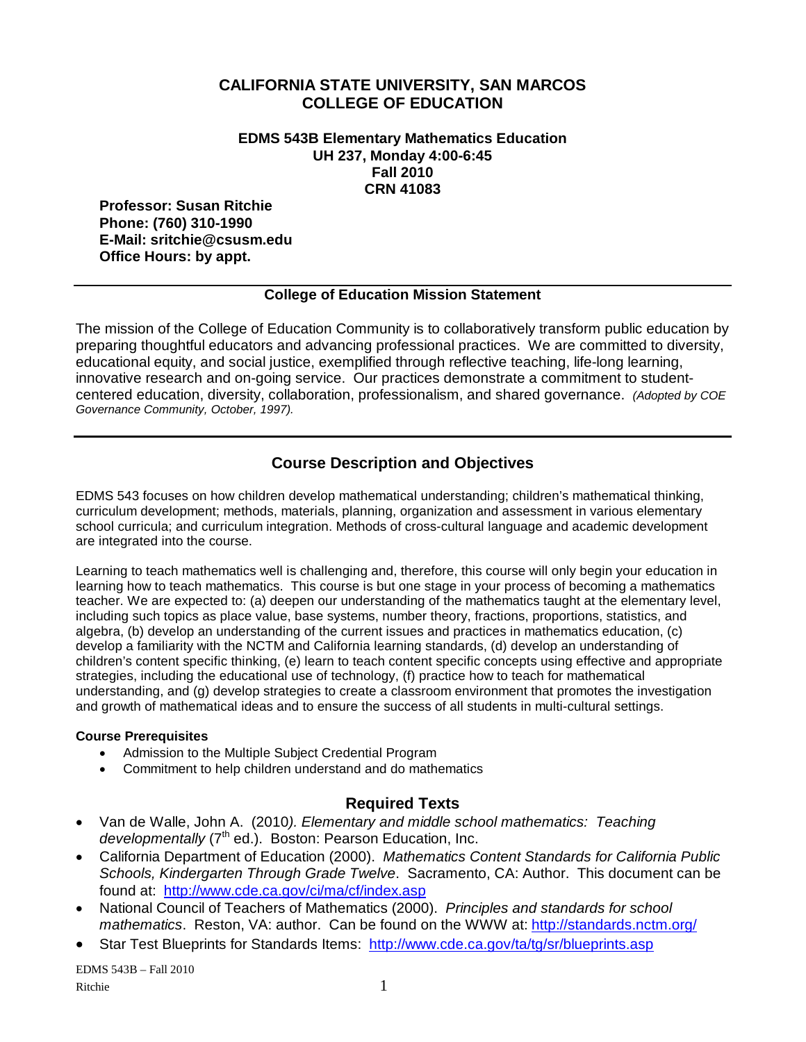### **CALIFORNIA STATE UNIVERSITY, SAN MARCOS COLLEGE OF EDUCATION**

**EDMS 543B Elementary Mathematics Education UH 237, Monday 4:00-6:45 Fall 2010 CRN 41083**

**Professor: Susan Ritchie Phone: (760) 310-1990 E-Mail: sritchie@csusm.edu Office Hours: by appt.**

#### **College of Education Mission Statement**

The mission of the College of Education Community is to collaboratively transform public education by preparing thoughtful educators and advancing professional practices. We are committed to diversity, educational equity, and social justice, exemplified through reflective teaching, life-long learning, innovative research and on-going service. Our practices demonstrate a commitment to studentcentered education, diversity, collaboration, professionalism, and shared governance. *(Adopted by COE Governance Community, October, 1997).*

## **Course Description and Objectives**

EDMS 543 focuses on how children develop mathematical understanding; children's mathematical thinking, curriculum development; methods, materials, planning, organization and assessment in various elementary school curricula; and curriculum integration. Methods of cross-cultural language and academic development are integrated into the course.

Learning to teach mathematics well is challenging and, therefore, this course will only begin your education in learning how to teach mathematics. This course is but one stage in your process of becoming a mathematics teacher. We are expected to: (a) deepen our understanding of the mathematics taught at the elementary level, including such topics as place value, base systems, number theory, fractions, proportions, statistics, and algebra, (b) develop an understanding of the current issues and practices in mathematics education, (c) develop a familiarity with the NCTM and California learning standards, (d) develop an understanding of children's content specific thinking, (e) learn to teach content specific concepts using effective and appropriate strategies, including the educational use of technology, (f) practice how to teach for mathematical understanding, and (g) develop strategies to create a classroom environment that promotes the investigation and growth of mathematical ideas and to ensure the success of all students in multi-cultural settings.

#### **Course Prerequisites**

- Admission to the Multiple Subject Credential Program
- Commitment to help children understand and do mathematics

#### **Required Texts**

- Van de Walle, John A. (2010*). Elementary and middle school mathematics: Teaching developmentally* (7<sup>th</sup> ed.). Boston: Pearson Education, Inc.
- California Department of Education (2000). *Mathematics Content Standards for California Public Schools, Kindergarten Through Grade Twelve*. Sacramento, CA: Author. This document can be found at: <http://www.cde.ca.gov/ci/ma/cf/index.asp>
- National Council of Teachers of Mathematics (2000). *Principles and standards for school mathematics*. Reston, VA: author. Can be found on the WWW at:<http://standards.nctm.org/>
- Star Test Blueprints for Standards Items: <http://www.cde.ca.gov/ta/tg/sr/blueprints.asp>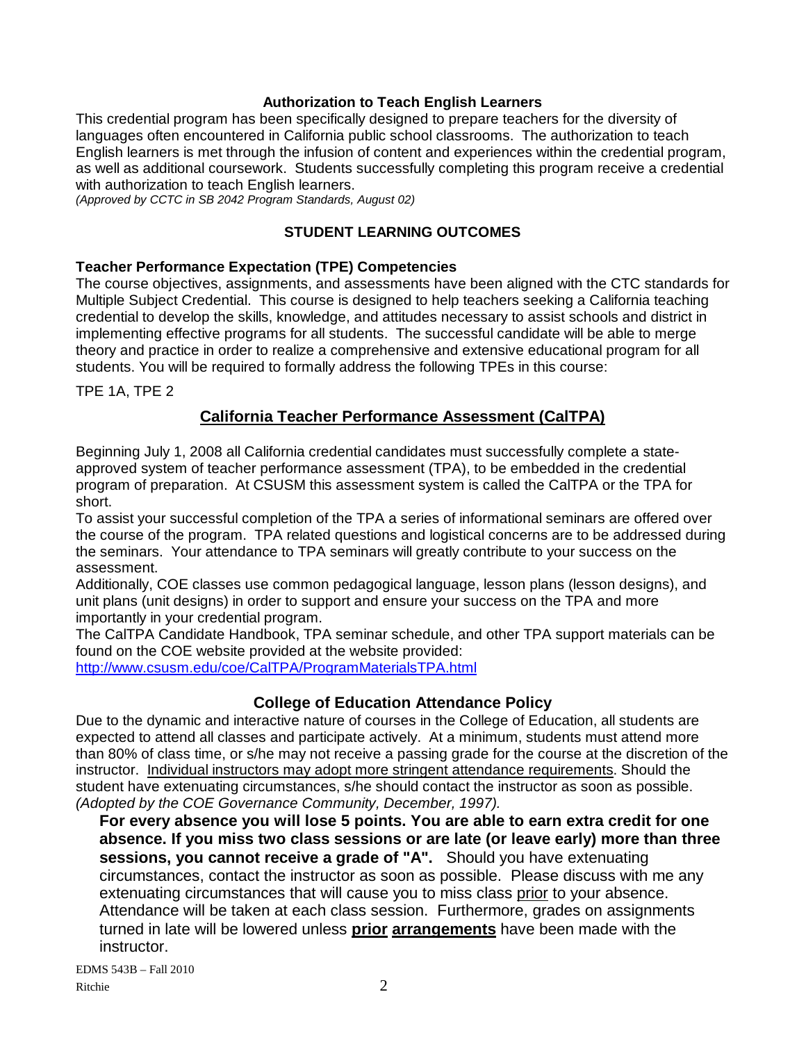#### **Authorization to Teach English Learners**

This credential program has been specifically designed to prepare teachers for the diversity of languages often encountered in California public school classrooms. The authorization to teach English learners is met through the infusion of content and experiences within the credential program, as well as additional coursework. Students successfully completing this program receive a credential with authorization to teach English learners.

*(Approved by CCTC in SB 2042 Program Standards, August 02)*

#### **STUDENT LEARNING OUTCOMES**

#### **Teacher Performance Expectation (TPE) Competencies**

The course objectives, assignments, and assessments have been aligned with the CTC standards for Multiple Subject Credential. This course is designed to help teachers seeking a California teaching credential to develop the skills, knowledge, and attitudes necessary to assist schools and district in implementing effective programs for all students. The successful candidate will be able to merge theory and practice in order to realize a comprehensive and extensive educational program for all students. You will be required to formally address the following TPEs in this course:

TPE 1A, TPE 2

## **California Teacher Performance Assessment (CalTPA)**

Beginning July 1, 2008 all California credential candidates must successfully complete a stateapproved system of teacher performance assessment (TPA), to be embedded in the credential program of preparation. At CSUSM this assessment system is called the CalTPA or the TPA for short.

To assist your successful completion of the TPA a series of informational seminars are offered over the course of the program. TPA related questions and logistical concerns are to be addressed during the seminars. Your attendance to TPA seminars will greatly contribute to your success on the assessment.

Additionally, COE classes use common pedagogical language, lesson plans (lesson designs), and unit plans (unit designs) in order to support and ensure your success on the TPA and more importantly in your credential program.

The CalTPA Candidate Handbook, TPA seminar schedule, and other TPA support materials can be found on the COE website provided at the website provided:

<http://www.csusm.edu/coe/CalTPA/ProgramMaterialsTPA.html>

#### **College of Education Attendance Policy**

Due to the dynamic and interactive nature of courses in the College of Education, all students are expected to attend all classes and participate actively. At a minimum, students must attend more than 80% of class time, or s/he may not receive a passing grade for the course at the discretion of the instructor. Individual instructors may adopt more stringent attendance requirements. Should the student have extenuating circumstances, s/he should contact the instructor as soon as possible. *(Adopted by the COE Governance Community, December, 1997).*

**For every absence you will lose 5 points. You are able to earn extra credit for one absence. If you miss two class sessions or are late (or leave early) more than three sessions, you cannot receive a grade of "A".** Should you have extenuating circumstances, contact the instructor as soon as possible. Please discuss with me any extenuating circumstances that will cause you to miss class prior to your absence. Attendance will be taken at each class session. Furthermore, grades on assignments turned in late will be lowered unless **prior arrangements** have been made with the instructor.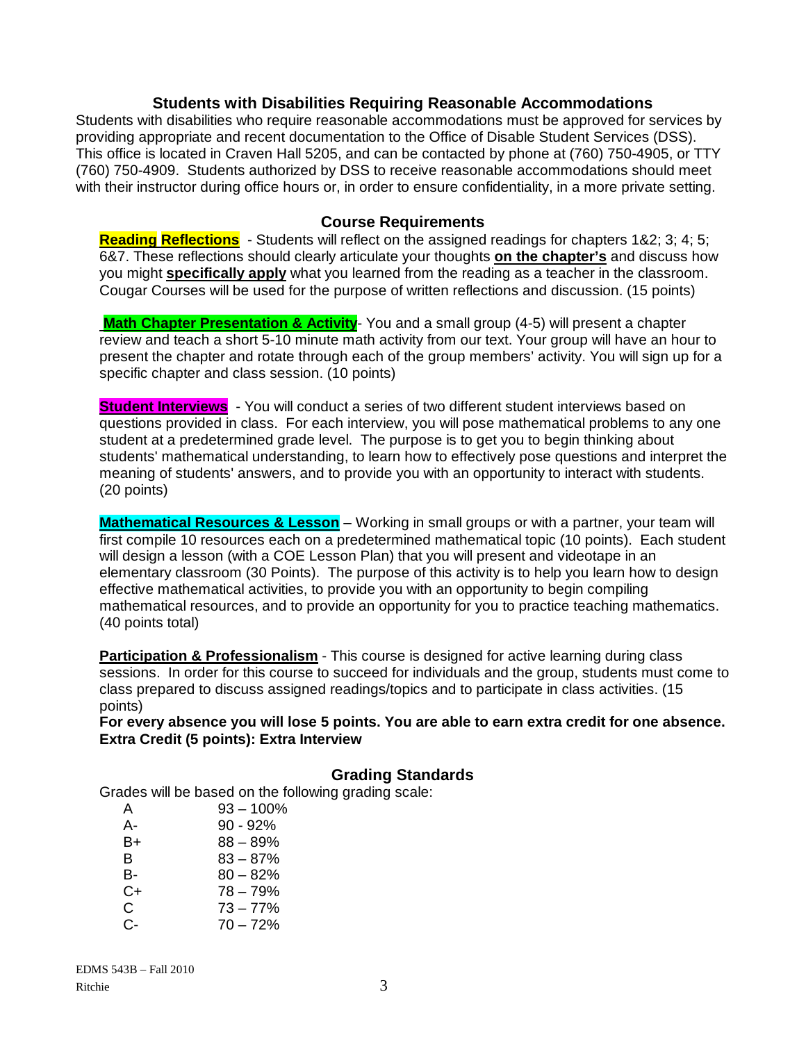### **Students with Disabilities Requiring Reasonable Accommodations**

Students with disabilities who require reasonable accommodations must be approved for services by providing appropriate and recent documentation to the Office of Disable Student Services (DSS). This office is located in Craven Hall 5205, and can be contacted by phone at (760) 750-4905, or TTY (760) 750-4909. Students authorized by DSS to receive reasonable accommodations should meet with their instructor during office hours or, in order to ensure confidentiality, in a more private setting.

#### **Course Requirements**

**Reading Reflections** - Students will reflect on the assigned readings for chapters 1&2; 3; 4; 5; 6&7. These reflections should clearly articulate your thoughts **on the chapter's** and discuss how you might **specifically apply** what you learned from the reading as a teacher in the classroom. Cougar Courses will be used for the purpose of written reflections and discussion. (15 points)

**Math Chapter Presentation & Activity**- You and a small group (4-5) will present a chapter review and teach a short 5-10 minute math activity from our text. Your group will have an hour to present the chapter and rotate through each of the group members' activity. You will sign up for a specific chapter and class session. (10 points)

**Student Interviews** - You will conduct a series of two different student interviews based on questions provided in class. For each interview, you will pose mathematical problems to any one student at a predetermined grade level. The purpose is to get you to begin thinking about students' mathematical understanding, to learn how to effectively pose questions and interpret the meaning of students' answers, and to provide you with an opportunity to interact with students. (20 points)

**Mathematical Resources & Lesson** – Working in small groups or with a partner, your team will first compile 10 resources each on a predetermined mathematical topic (10 points). Each student will design a lesson (with a COE Lesson Plan) that you will present and videotape in an elementary classroom (30 Points). The purpose of this activity is to help you learn how to design effective mathematical activities, to provide you with an opportunity to begin compiling mathematical resources, and to provide an opportunity for you to practice teaching mathematics. (40 points total)

**Participation & Professionalism** - This course is designed for active learning during class sessions. In order for this course to succeed for individuals and the group, students must come to class prepared to discuss assigned readings/topics and to participate in class activities. (15 points)

**For every absence you will lose 5 points. You are able to earn extra credit for one absence. Extra Credit (5 points): Extra Interview**

## **Grading Standards**

Grades will be based on the following grading scale:

| A    | $93 - 100\%$ |
|------|--------------|
| А-   | $90 - 92%$   |
| $B+$ | $88 - 89%$   |
| B    | $83 - 87%$   |
| B-   | $80 - 82%$   |
| C+   | $78 - 79%$   |
| C    | $73 - 77%$   |
| C-   | $70 - 72%$   |
|      |              |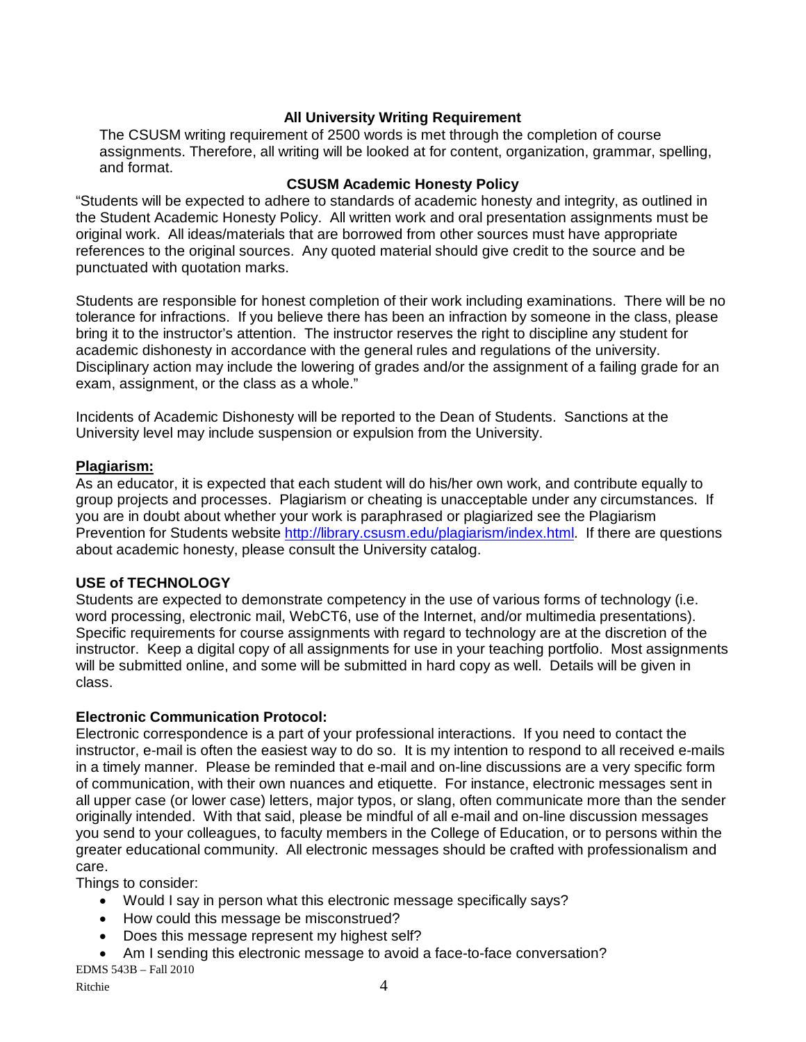### **All University Writing Requirement**

The CSUSM writing requirement of 2500 words is met through the completion of course assignments. Therefore, all writing will be looked at for content, organization, grammar, spelling, and format.

### **CSUSM Academic Honesty Policy**

"Students will be expected to adhere to standards of academic honesty and integrity, as outlined in the Student Academic Honesty Policy. All written work and oral presentation assignments must be original work. All ideas/materials that are borrowed from other sources must have appropriate references to the original sources. Any quoted material should give credit to the source and be punctuated with quotation marks.

Students are responsible for honest completion of their work including examinations. There will be no tolerance for infractions. If you believe there has been an infraction by someone in the class, please bring it to the instructor's attention. The instructor reserves the right to discipline any student for academic dishonesty in accordance with the general rules and regulations of the university. Disciplinary action may include the lowering of grades and/or the assignment of a failing grade for an exam, assignment, or the class as a whole."

Incidents of Academic Dishonesty will be reported to the Dean of Students. Sanctions at the University level may include suspension or expulsion from the University.

#### **Plagiarism:**

As an educator, it is expected that each student will do his/her own work, and contribute equally to group projects and processes. Plagiarism or cheating is unacceptable under any circumstances. If you are in doubt about whether your work is paraphrased or plagiarized see the Plagiarism Prevention for Students website [http://library.csusm.edu/plagiarism/index.html.](http://library.csusm.edu/plagiarism/index.html) If there are questions about academic honesty, please consult the University catalog.

## **USE of TECHNOLOGY**

Students are expected to demonstrate competency in the use of various forms of technology (i.e. word processing, electronic mail, WebCT6, use of the Internet, and/or multimedia presentations). Specific requirements for course assignments with regard to technology are at the discretion of the instructor. Keep a digital copy of all assignments for use in your teaching portfolio. Most assignments will be submitted online, and some will be submitted in hard copy as well. Details will be given in class.

#### **Electronic Communication Protocol:**

Electronic correspondence is a part of your professional interactions. If you need to contact the instructor, e-mail is often the easiest way to do so. It is my intention to respond to all received e-mails in a timely manner. Please be reminded that e-mail and on-line discussions are a very specific form of communication, with their own nuances and etiquette. For instance, electronic messages sent in all upper case (or lower case) letters, major typos, or slang, often communicate more than the sender originally intended. With that said, please be mindful of all e-mail and on-line discussion messages you send to your colleagues, to faculty members in the College of Education, or to persons within the greater educational community. All electronic messages should be crafted with professionalism and care.

Things to consider:

- Would I say in person what this electronic message specifically says?
- How could this message be misconstrued?
- Does this message represent my highest self?
- Am I sending this electronic message to avoid a face-to-face conversation?

EDMS 543B – Fall 2010

Ritchie 4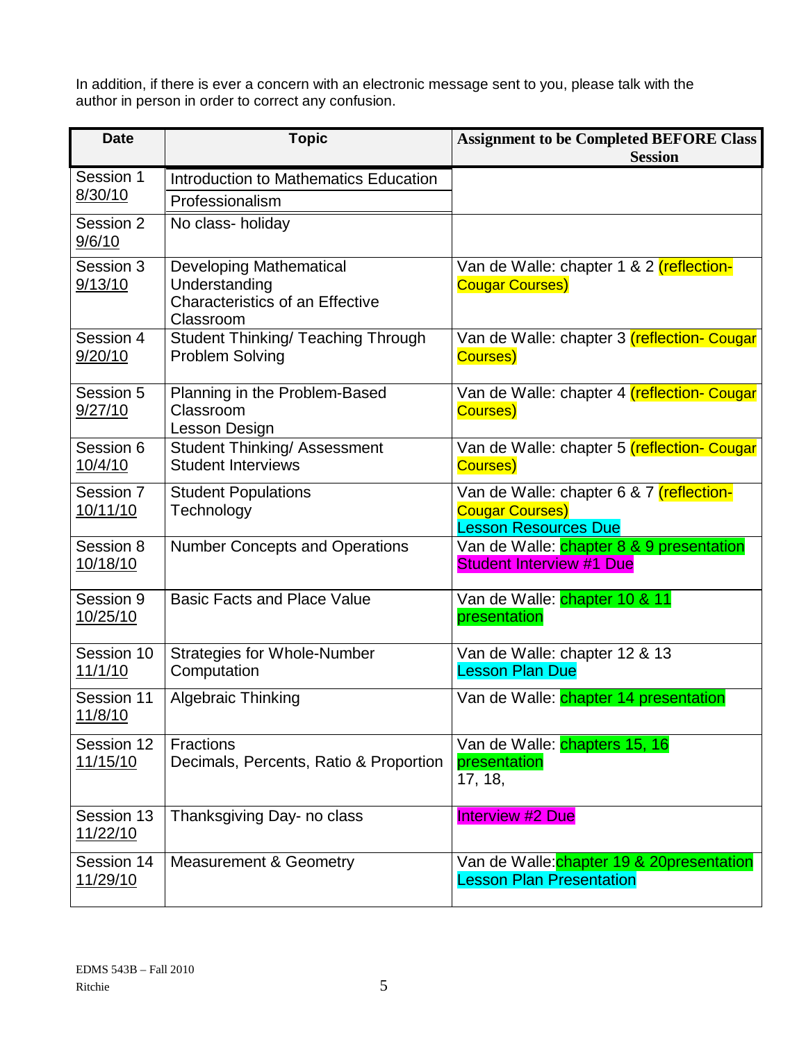In addition, if there is ever a concern with an electronic message sent to you, please talk with the author in person in order to correct any confusion.

| <b>Date</b>                  | <b>Topic</b>                                                                                           | <b>Assignment to be Completed BEFORE Class</b><br><b>Session</b>                                  |
|------------------------------|--------------------------------------------------------------------------------------------------------|---------------------------------------------------------------------------------------------------|
| Session 1                    | Introduction to Mathematics Education                                                                  |                                                                                                   |
| 8/30/10                      | Professionalism                                                                                        |                                                                                                   |
| Session 2<br>9/6/10          | No class-holiday                                                                                       |                                                                                                   |
| Session 3<br>9/13/10         | <b>Developing Mathematical</b><br>Understanding<br><b>Characteristics of an Effective</b><br>Classroom | Van de Walle: chapter 1 & 2 (reflection-<br><b>Cougar Courses)</b>                                |
| Session 4<br>9/20/10         | <b>Student Thinking/ Teaching Through</b><br><b>Problem Solving</b>                                    | Van de Walle: chapter 3 (reflection- Cougar<br>Courses)                                           |
| Session 5<br>9/27/10         | Planning in the Problem-Based<br>Classroom<br>Lesson Design                                            | Van de Walle: chapter 4 (reflection- Cougar<br>Courses)                                           |
| Session 6<br>10/4/10         | <b>Student Thinking/ Assessment</b><br><b>Student Interviews</b>                                       | Van de Walle: chapter 5 (reflection- Cougar<br><b>Courses</b> )                                   |
| Session 7<br>10/11/10        | <b>Student Populations</b><br>Technology                                                               | Van de Walle: chapter 6 & 7 (reflection-<br><b>Cougar Courses)</b><br><b>Lesson Resources Due</b> |
| Session 8<br>10/18/10        | <b>Number Concepts and Operations</b>                                                                  | Van de Walle: chapter 8 & 9 presentation<br><b>Student Interview #1 Due</b>                       |
| Session 9<br>10/25/10        | <b>Basic Facts and Place Value</b>                                                                     | Van de Walle: chapter 10 & 11<br>presentation                                                     |
| Session 10<br>11/1/10        | <b>Strategies for Whole-Number</b><br>Computation                                                      | Van de Walle: chapter 12 & 13<br><b>Lesson Plan Due</b>                                           |
| Session 11<br><u>11/8/10</u> | Algebraic Thinking                                                                                     | Van de Walle: chapter 14 presentation                                                             |
| Session 12<br>11/15/10       | <b>Fractions</b><br>Decimals, Percents, Ratio & Proportion                                             | Van de Walle: chapters 15, 16<br>presentation<br>17, 18,                                          |
| Session 13<br>11/22/10       | Thanksgiving Day- no class                                                                             | <b>Interview #2 Due</b>                                                                           |
| Session 14<br>11/29/10       | <b>Measurement &amp; Geometry</b>                                                                      | Van de Walle: chapter 19 & 20presentation<br><b>Lesson Plan Presentation</b>                      |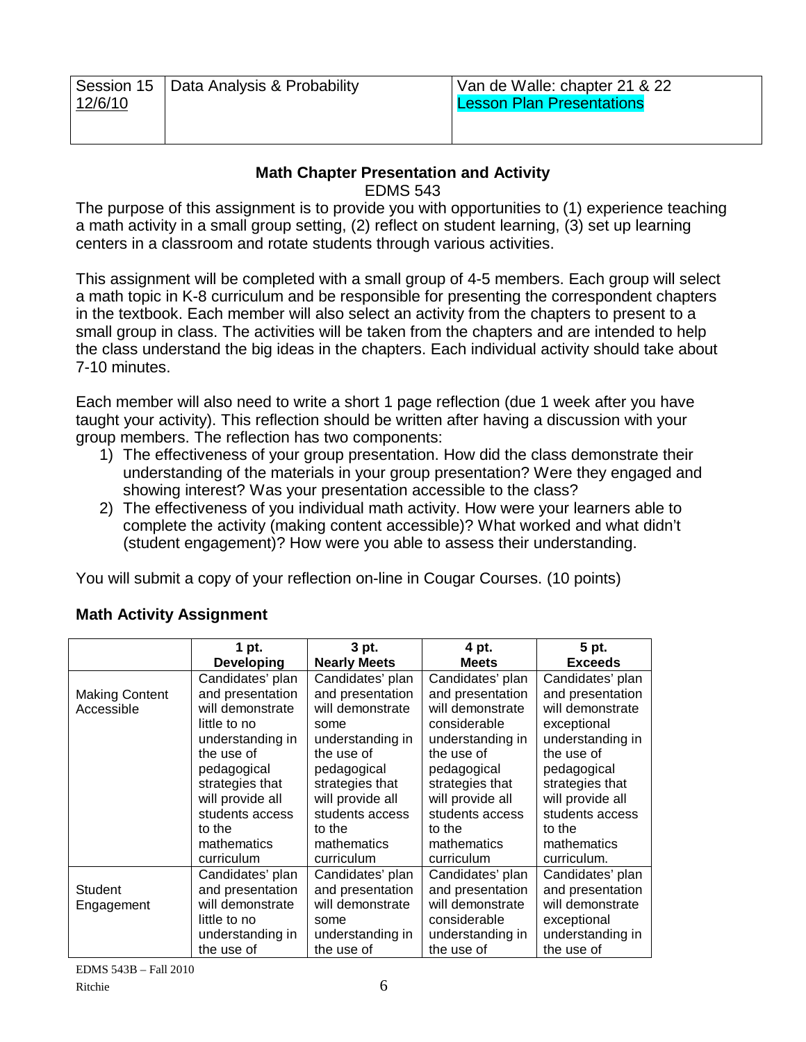| 12/6/10 | Session 15   Data Analysis & Probability | Van de Walle: chapter 21 & 22<br><b>Lesson Plan Presentations</b> |
|---------|------------------------------------------|-------------------------------------------------------------------|
|         |                                          |                                                                   |

## **Math Chapter Presentation and Activity**

EDMS 543

The purpose of this assignment is to provide you with opportunities to (1) experience teaching a math activity in a small group setting, (2) reflect on student learning, (3) set up learning centers in a classroom and rotate students through various activities.

This assignment will be completed with a small group of 4-5 members. Each group will select a math topic in K-8 curriculum and be responsible for presenting the correspondent chapters in the textbook. Each member will also select an activity from the chapters to present to a small group in class. The activities will be taken from the chapters and are intended to help the class understand the big ideas in the chapters. Each individual activity should take about 7-10 minutes.

Each member will also need to write a short 1 page reflection (due 1 week after you have taught your activity). This reflection should be written after having a discussion with your group members. The reflection has two components:

- 1) The effectiveness of your group presentation. How did the class demonstrate their understanding of the materials in your group presentation? Were they engaged and showing interest? Was your presentation accessible to the class?
- 2) The effectiveness of you individual math activity. How were your learners able to complete the activity (making content accessible)? What worked and what didn't (student engagement)? How were you able to assess their understanding.

You will submit a copy of your reflection on-line in Cougar Courses. (10 points)

|                       | 1 pt.             | 3 pt.               | 4 pt.            | 5 pt.            |
|-----------------------|-------------------|---------------------|------------------|------------------|
|                       | <b>Developing</b> | <b>Nearly Meets</b> | <b>Meets</b>     | <b>Exceeds</b>   |
|                       | Candidates' plan  | Candidates' plan    | Candidates' plan | Candidates' plan |
| <b>Making Content</b> | and presentation  | and presentation    | and presentation | and presentation |
| Accessible            | will demonstrate  | will demonstrate    | will demonstrate | will demonstrate |
|                       | little to no      | some                | considerable     | exceptional      |
|                       | understanding in  | understanding in    | understanding in | understanding in |
|                       | the use of        | the use of          | the use of       | the use of       |
|                       | pedagogical       | pedagogical         | pedagogical      | pedagogical      |
|                       | strategies that   | strategies that     | strategies that  | strategies that  |
|                       | will provide all  | will provide all    | will provide all | will provide all |
|                       | students access   | students access     | students access  | students access  |
|                       | to the            | to the              | to the           | to the           |
|                       | mathematics       | mathematics         | mathematics      | mathematics      |
|                       | curriculum        | curriculum          | curriculum       | curriculum.      |
|                       | Candidates' plan  | Candidates' plan    | Candidates' plan | Candidates' plan |
| <b>Student</b>        | and presentation  | and presentation    | and presentation | and presentation |
| Engagement            | will demonstrate  | will demonstrate    | will demonstrate | will demonstrate |
|                       | little to no      | some                | considerable     | exceptional      |
|                       | understanding in  | understanding in    | understanding in | understanding in |
|                       | the use of        | the use of          | the use of       | the use of       |

## **Math Activity Assignment**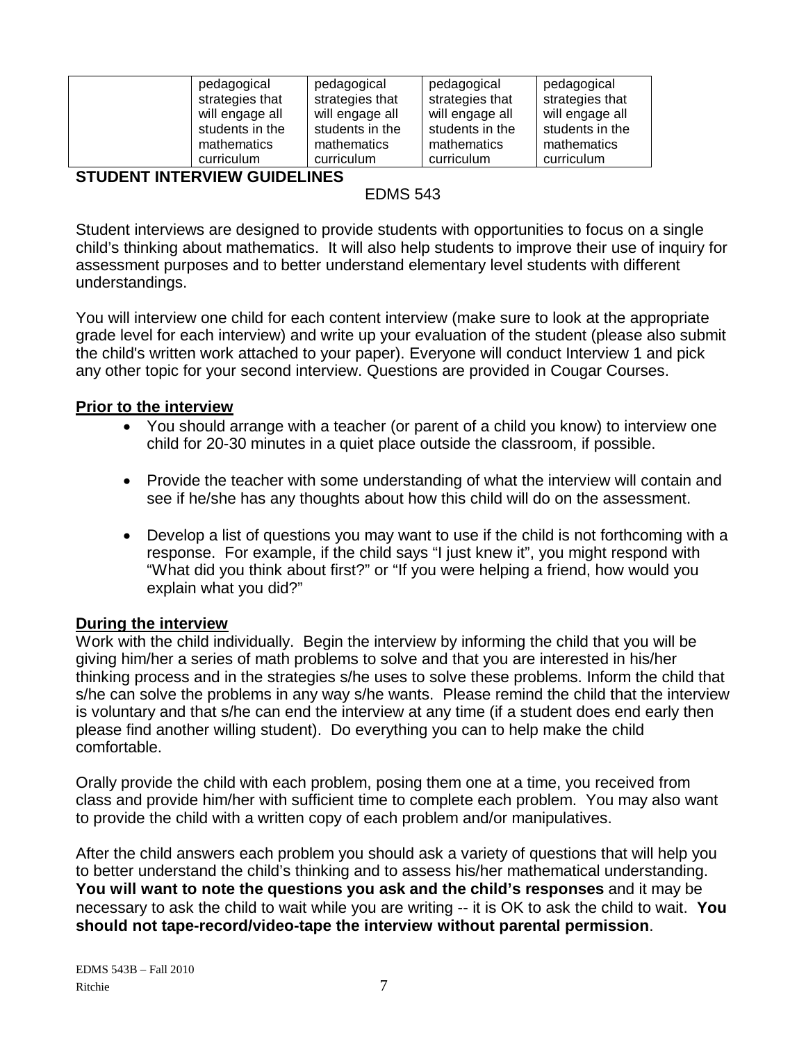| pedagogical<br>strategies that<br>will engage all<br>students in the<br>mathematics | pedagogical<br>strategies that<br>will engage all<br>students in the<br>mathematics | pedagogical<br>strategies that<br>will engage all<br>students in the<br>mathematics | pedagogical<br>strategies that<br>will engage all<br>students in the<br>mathematics |
|-------------------------------------------------------------------------------------|-------------------------------------------------------------------------------------|-------------------------------------------------------------------------------------|-------------------------------------------------------------------------------------|
|                                                                                     |                                                                                     |                                                                                     |                                                                                     |
| curriculum                                                                          | curriculum                                                                          | curriculum                                                                          | curriculum                                                                          |

## **STUDENT INTERVIEW GUIDELINES**

## EDMS 543

Student interviews are designed to provide students with opportunities to focus on a single child's thinking about mathematics. It will also help students to improve their use of inquiry for assessment purposes and to better understand elementary level students with different understandings.

You will interview one child for each content interview (make sure to look at the appropriate grade level for each interview) and write up your evaluation of the student (please also submit the child's written work attached to your paper). Everyone will conduct Interview 1 and pick any other topic for your second interview. Questions are provided in Cougar Courses.

## **Prior to the interview**

- You should arrange with a teacher (or parent of a child you know) to interview one child for 20-30 minutes in a quiet place outside the classroom, if possible.
- Provide the teacher with some understanding of what the interview will contain and see if he/she has any thoughts about how this child will do on the assessment.
- Develop a list of questions you may want to use if the child is not forthcoming with a response. For example, if the child says "I just knew it", you might respond with "What did you think about first?" or "If you were helping a friend, how would you explain what you did?"

## **During the interview**

Work with the child individually. Begin the interview by informing the child that you will be giving him/her a series of math problems to solve and that you are interested in his/her thinking process and in the strategies s/he uses to solve these problems. Inform the child that s/he can solve the problems in any way s/he wants. Please remind the child that the interview is voluntary and that s/he can end the interview at any time (if a student does end early then please find another willing student). Do everything you can to help make the child comfortable.

Orally provide the child with each problem, posing them one at a time, you received from class and provide him/her with sufficient time to complete each problem. You may also want to provide the child with a written copy of each problem and/or manipulatives.

After the child answers each problem you should ask a variety of questions that will help you to better understand the child's thinking and to assess his/her mathematical understanding. **You will want to note the questions you ask and the child's responses** and it may be necessary to ask the child to wait while you are writing -- it is OK to ask the child to wait. **You should not tape-record/video-tape the interview without parental permission**.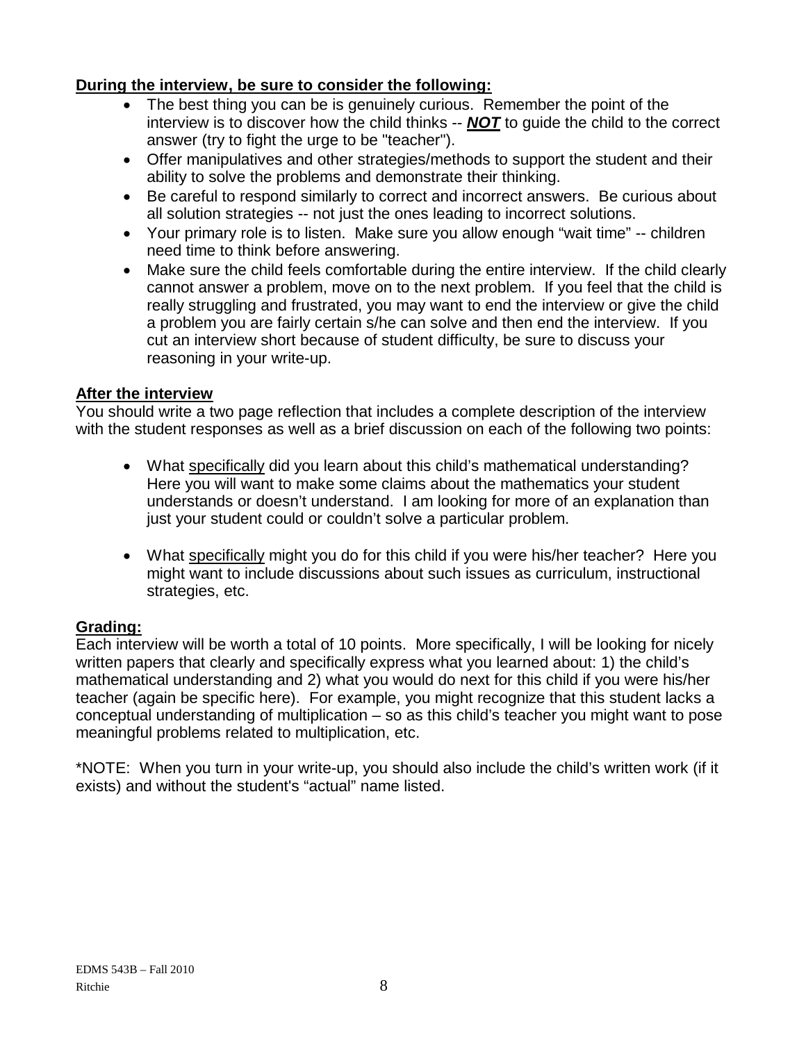## **During the interview, be sure to consider the following:**

- The best thing you can be is genuinely curious. Remember the point of the interview is to discover how the child thinks -- *NOT* to guide the child to the correct answer (try to fight the urge to be "teacher").
- Offer manipulatives and other strategies/methods to support the student and their ability to solve the problems and demonstrate their thinking.
- Be careful to respond similarly to correct and incorrect answers. Be curious about all solution strategies -- not just the ones leading to incorrect solutions.
- Your primary role is to listen. Make sure you allow enough "wait time" -- children need time to think before answering.
- Make sure the child feels comfortable during the entire interview. If the child clearly cannot answer a problem, move on to the next problem. If you feel that the child is really struggling and frustrated, you may want to end the interview or give the child a problem you are fairly certain s/he can solve and then end the interview. If you cut an interview short because of student difficulty, be sure to discuss your reasoning in your write-up.

# **After the interview**

You should write a two page reflection that includes a complete description of the interview with the student responses as well as a brief discussion on each of the following two points:

- What specifically did you learn about this child's mathematical understanding? Here you will want to make some claims about the mathematics your student understands or doesn't understand. I am looking for more of an explanation than just your student could or couldn't solve a particular problem.
- What specifically might you do for this child if you were his/her teacher? Here you might want to include discussions about such issues as curriculum, instructional strategies, etc.

# **Grading:**

Each interview will be worth a total of 10 points. More specifically, I will be looking for nicely written papers that clearly and specifically express what you learned about: 1) the child's mathematical understanding and 2) what you would do next for this child if you were his/her teacher (again be specific here). For example, you might recognize that this student lacks a conceptual understanding of multiplication – so as this child's teacher you might want to pose meaningful problems related to multiplication, etc.

\*NOTE: When you turn in your write-up, you should also include the child's written work (if it exists) and without the student's "actual" name listed.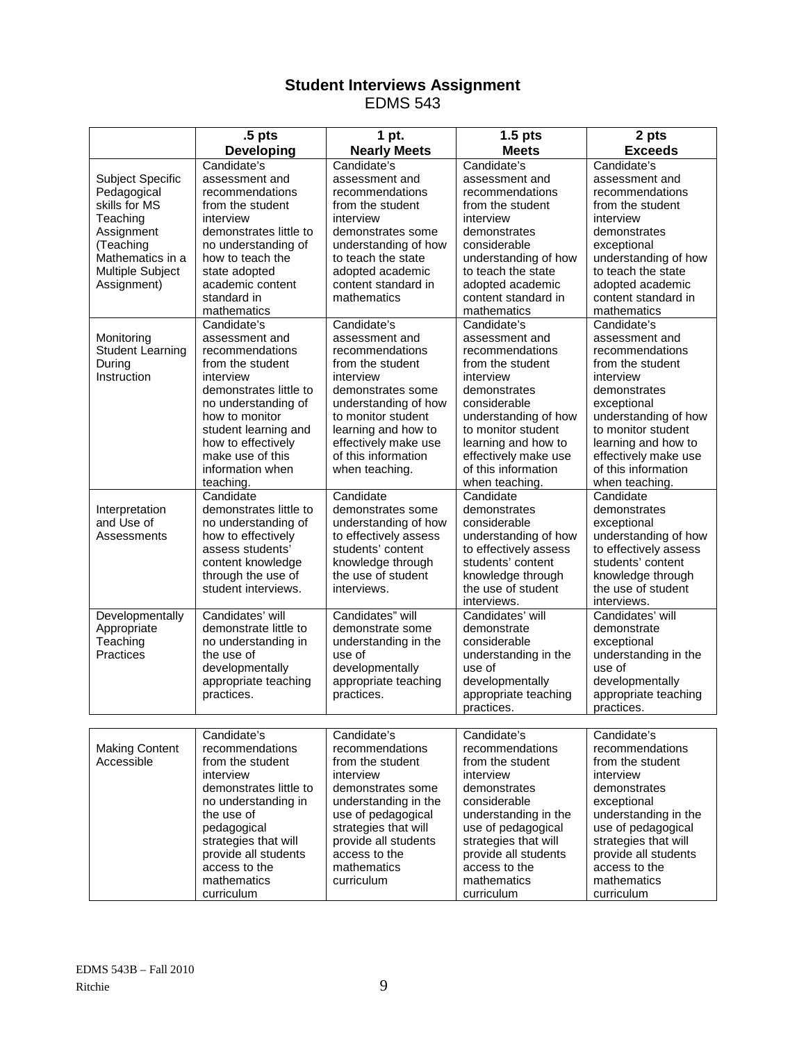### **Student Interviews Assignment** EDMS 543

|                                                                                                                                                       | .5 <sub>pts</sub>                                                                                                                                                                                                                                       | 1 pt.                                                                                                                                                                                                                                        | $1.5$ pts                                                                                                                                                                                                                                               | 2 pts                                                                                                                                                                                                                                                 |
|-------------------------------------------------------------------------------------------------------------------------------------------------------|---------------------------------------------------------------------------------------------------------------------------------------------------------------------------------------------------------------------------------------------------------|----------------------------------------------------------------------------------------------------------------------------------------------------------------------------------------------------------------------------------------------|---------------------------------------------------------------------------------------------------------------------------------------------------------------------------------------------------------------------------------------------------------|-------------------------------------------------------------------------------------------------------------------------------------------------------------------------------------------------------------------------------------------------------|
|                                                                                                                                                       | Developing                                                                                                                                                                                                                                              | <b>Nearly Meets</b>                                                                                                                                                                                                                          | <b>Meets</b>                                                                                                                                                                                                                                            | <b>Exceeds</b>                                                                                                                                                                                                                                        |
| <b>Subject Specific</b><br>Pedagogical<br>skills for MS<br>Teaching<br>Assignment<br>(Teaching<br>Mathematics in a<br>Multiple Subject<br>Assignment) | Candidate's<br>assessment and<br>recommendations<br>from the student<br>interview<br>demonstrates little to<br>no understanding of<br>how to teach the<br>state adopted<br>academic content<br>standard in<br>mathematics                               | Candidate's<br>assessment and<br>recommendations<br>from the student<br>interview<br>demonstrates some<br>understanding of how<br>to teach the state<br>adopted academic<br>content standard in<br>mathematics                               | Candidate's<br>assessment and<br>recommendations<br>from the student<br>interview<br>demonstrates<br>considerable<br>understanding of how<br>to teach the state<br>adopted academic<br>content standard in<br>mathematics                               | Candidate's<br>assessment and<br>recommendations<br>from the student<br>interview<br>demonstrates<br>exceptional<br>understanding of how<br>to teach the state<br>adopted academic<br>content standard in<br>mathematics                              |
| Monitoring<br><b>Student Learning</b><br>During<br>Instruction                                                                                        | Candidate's<br>assessment and<br>recommendations<br>from the student<br>interview<br>demonstrates little to<br>no understanding of<br>how to monitor<br>student learning and<br>how to effectively<br>make use of this<br>information when<br>teaching. | Candidate's<br>assessment and<br>recommendations<br>from the student<br>interview<br>demonstrates some<br>understanding of how<br>to monitor student<br>learning and how to<br>effectively make use<br>of this information<br>when teaching. | Candidate's<br>assessment and<br>recommendations<br>from the student<br>interview<br>demonstrates<br>considerable<br>understanding of how<br>to monitor student<br>learning and how to<br>effectively make use<br>of this information<br>when teaching. | Candidate's<br>assessment and<br>recommendations<br>from the student<br>interview<br>demonstrates<br>exceptional<br>understanding of how<br>to monitor student<br>learning and how to<br>effectively make use<br>of this information<br>when teaching |
| Interpretation<br>and Use of<br>Assessments                                                                                                           | Candidate<br>demonstrates little to<br>no understanding of<br>how to effectively<br>assess students'<br>content knowledge<br>through the use of<br>student interviews.                                                                                  | Candidate<br>demonstrates some<br>understanding of how<br>to effectively assess<br>students' content<br>knowledge through<br>the use of student<br>interviews.                                                                               | Candidate<br>demonstrates<br>considerable<br>understanding of how<br>to effectively assess<br>students' content<br>knowledge through<br>the use of student<br>interviews.                                                                               | Candidate<br>demonstrates<br>exceptional<br>understanding of how<br>to effectively assess<br>students' content<br>knowledge through<br>the use of student<br>interviews.                                                                              |
| Developmentally<br>Appropriate<br>Teaching<br>Practices                                                                                               | Candidates' will<br>demonstrate little to<br>no understanding in<br>the use of<br>developmentally<br>appropriate teaching<br>practices.                                                                                                                 | Candidates" will<br>demonstrate some<br>understanding in the<br>use of<br>developmentally<br>appropriate teaching<br>practices.                                                                                                              | Candidates' will<br>demonstrate<br>considerable<br>understanding in the<br>use of<br>developmentally<br>appropriate teaching<br>practices.                                                                                                              | Candidates' will<br>demonstrate<br>exceptional<br>understanding in the<br>use of<br>developmentally<br>appropriate teaching<br>practices.                                                                                                             |
|                                                                                                                                                       |                                                                                                                                                                                                                                                         |                                                                                                                                                                                                                                              |                                                                                                                                                                                                                                                         |                                                                                                                                                                                                                                                       |
| <b>Making Content</b><br>Accessible                                                                                                                   | Candidate's<br>recommendations<br>from the student<br>interview<br>demonstrates little to<br>no understanding in<br>the use of<br>pedagogical<br>strategies that will<br>provide all students<br>access to the<br>mathematics<br>curriculum             | Candidate's<br>recommendations<br>from the student<br>interview<br>demonstrates some<br>understanding in the<br>use of pedagogical<br>strategies that will<br>provide all students<br>access to the<br>mathematics<br>curriculum             | Candidate's<br>recommendations<br>from the student<br>interview<br>demonstrates<br>considerable<br>understanding in the<br>use of pedagogical<br>strategies that will<br>provide all students<br>access to the<br>mathematics<br>curriculum             | Candidate's<br>recommendations<br>from the student<br>interview<br>demonstrates<br>exceptional<br>understanding in the<br>use of pedagogical<br>strategies that will<br>provide all students<br>access to the<br>mathematics<br>curriculum            |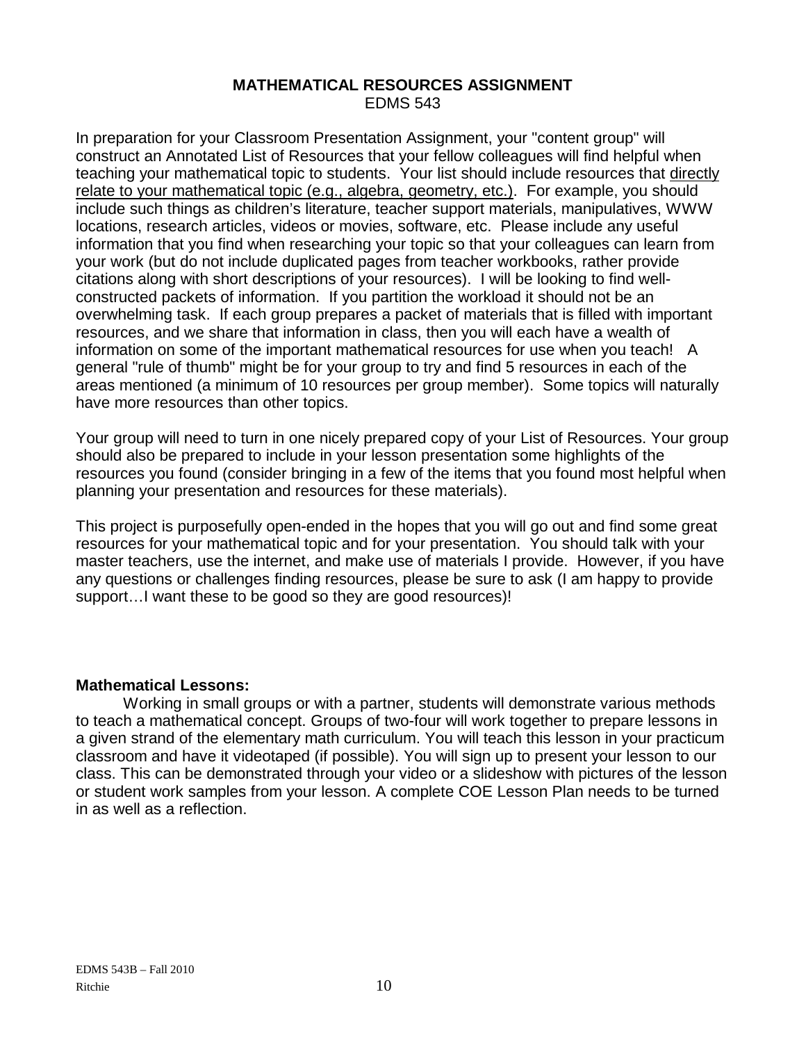### **MATHEMATICAL RESOURCES ASSIGNMENT** EDMS 543

In preparation for your Classroom Presentation Assignment, your "content group" will construct an Annotated List of Resources that your fellow colleagues will find helpful when teaching your mathematical topic to students. Your list should include resources that directly relate to your mathematical topic (e.g., algebra, geometry, etc.). For example, you should include such things as children's literature, teacher support materials, manipulatives, WWW locations, research articles, videos or movies, software, etc. Please include any useful information that you find when researching your topic so that your colleagues can learn from your work (but do not include duplicated pages from teacher workbooks, rather provide citations along with short descriptions of your resources). I will be looking to find wellconstructed packets of information. If you partition the workload it should not be an overwhelming task. If each group prepares a packet of materials that is filled with important resources, and we share that information in class, then you will each have a wealth of information on some of the important mathematical resources for use when you teach! A general "rule of thumb" might be for your group to try and find 5 resources in each of the areas mentioned (a minimum of 10 resources per group member). Some topics will naturally have more resources than other topics.

Your group will need to turn in one nicely prepared copy of your List of Resources. Your group should also be prepared to include in your lesson presentation some highlights of the resources you found (consider bringing in a few of the items that you found most helpful when planning your presentation and resources for these materials).

This project is purposefully open-ended in the hopes that you will go out and find some great resources for your mathematical topic and for your presentation. You should talk with your master teachers, use the internet, and make use of materials I provide. However, if you have any questions or challenges finding resources, please be sure to ask (I am happy to provide support…I want these to be good so they are good resources)!

#### **Mathematical Lessons:**

Working in small groups or with a partner, students will demonstrate various methods to teach a mathematical concept. Groups of two-four will work together to prepare lessons in a given strand of the elementary math curriculum. You will teach this lesson in your practicum classroom and have it videotaped (if possible). You will sign up to present your lesson to our class. This can be demonstrated through your video or a slideshow with pictures of the lesson or student work samples from your lesson. A complete COE Lesson Plan needs to be turned in as well as a reflection.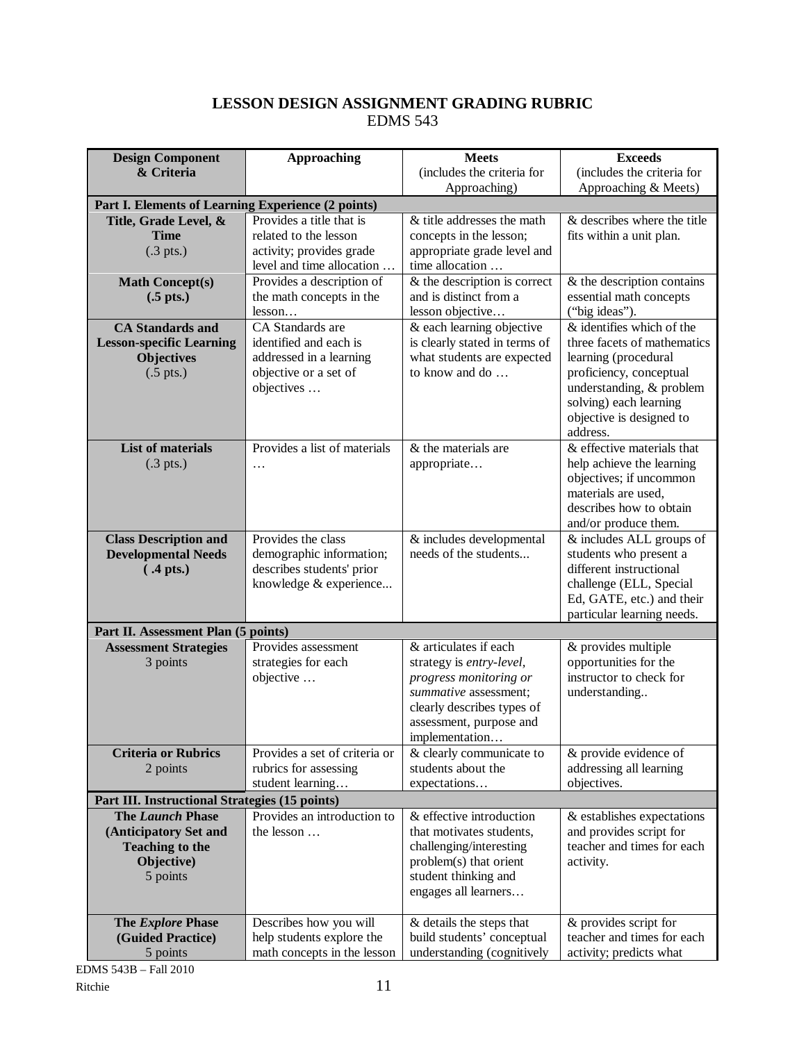## **LESSON DESIGN ASSIGNMENT GRADING RUBRIC** EDMS 543

| <b>Design Component</b>                            | <b>Approaching</b>            | <b>Meets</b>                   | <b>Exceeds</b>                                   |  |  |  |
|----------------------------------------------------|-------------------------------|--------------------------------|--------------------------------------------------|--|--|--|
| & Criteria                                         |                               | (includes the criteria for     | (includes the criteria for                       |  |  |  |
|                                                    |                               | Approaching)                   | Approaching & Meets)                             |  |  |  |
| Part I. Elements of Learning Experience (2 points) |                               |                                |                                                  |  |  |  |
| Title, Grade Level, &                              | Provides a title that is      | & title addresses the math     | & describes where the title                      |  |  |  |
| <b>Time</b>                                        | related to the lesson         | concepts in the lesson;        | fits within a unit plan.                         |  |  |  |
| $(.3 \text{ pts.})$                                | activity; provides grade      | appropriate grade level and    |                                                  |  |  |  |
|                                                    | level and time allocation     | time allocation                |                                                  |  |  |  |
| <b>Math Concept(s)</b>                             | Provides a description of     | $&$ the description is correct | & the description contains                       |  |  |  |
| $(.5 \text{ pts.})$                                | the math concepts in the      | and is distinct from a         | essential math concepts                          |  |  |  |
|                                                    | lesson                        | lesson objective               | ("big ideas").                                   |  |  |  |
| <b>CA Standards and</b>                            | CA Standards are              | & each learning objective      | $&$ identifies which of the                      |  |  |  |
| <b>Lesson-specific Learning</b>                    | identified and each is        | is clearly stated in terms of  | three facets of mathematics                      |  |  |  |
| <b>Objectives</b>                                  | addressed in a learning       | what students are expected     | learning (procedural                             |  |  |  |
| $(.5 \text{ pts.})$                                | objective or a set of         | to know and do                 | proficiency, conceptual                          |  |  |  |
|                                                    | objectives                    |                                | understanding, & problem                         |  |  |  |
|                                                    |                               |                                | solving) each learning                           |  |  |  |
|                                                    |                               |                                | objective is designed to                         |  |  |  |
|                                                    |                               |                                | address.                                         |  |  |  |
| <b>List of materials</b>                           | Provides a list of materials  | & the materials are            | & effective materials that                       |  |  |  |
| $(.3 \text{ pts.})$                                | .                             | appropriate                    | help achieve the learning                        |  |  |  |
|                                                    |                               |                                | objectives; if uncommon                          |  |  |  |
|                                                    |                               |                                | materials are used,                              |  |  |  |
|                                                    |                               |                                | describes how to obtain                          |  |  |  |
| <b>Class Description and</b>                       | Provides the class            | & includes developmental       | and/or produce them.<br>& includes ALL groups of |  |  |  |
| <b>Developmental Needs</b>                         | demographic information;      | needs of the students          | students who present a                           |  |  |  |
| $( .4 \text{ pts.})$                               | describes students' prior     |                                | different instructional                          |  |  |  |
|                                                    | knowledge & experience        |                                | challenge (ELL, Special                          |  |  |  |
|                                                    |                               |                                | Ed, GATE, etc.) and their                        |  |  |  |
|                                                    |                               |                                | particular learning needs.                       |  |  |  |
| Part II. Assessment Plan (5 points)                |                               |                                |                                                  |  |  |  |
| <b>Assessment Strategies</b>                       | Provides assessment           | & articulates if each          | & provides multiple                              |  |  |  |
| 3 points                                           | strategies for each           | strategy is entry-level,       | opportunities for the                            |  |  |  |
|                                                    | objective                     | progress monitoring or         | instructor to check for                          |  |  |  |
|                                                    |                               | summative assessment;          | understanding                                    |  |  |  |
|                                                    |                               | clearly describes types of     |                                                  |  |  |  |
|                                                    |                               | assessment, purpose and        |                                                  |  |  |  |
|                                                    |                               | implementation                 |                                                  |  |  |  |
| <b>Criteria or Rubrics</b>                         | Provides a set of criteria or | & clearly communicate to       | & provide evidence of                            |  |  |  |
| 2 points                                           | rubrics for assessing         | students about the             | addressing all learning                          |  |  |  |
|                                                    | student learning              | expectations                   | objectives.                                      |  |  |  |
| Part III. Instructional Strategies (15 points)     |                               |                                |                                                  |  |  |  |
| <b>The Launch Phase</b>                            | Provides an introduction to   | & effective introduction       | & establishes expectations                       |  |  |  |
| (Anticipatory Set and                              | the lesson                    | that motivates students,       | and provides script for                          |  |  |  |
| <b>Teaching to the</b>                             |                               | challenging/interesting        | teacher and times for each                       |  |  |  |
| Objective)                                         |                               | problem(s) that orient         | activity.                                        |  |  |  |
| 5 points                                           |                               | student thinking and           |                                                  |  |  |  |
|                                                    |                               | engages all learners           |                                                  |  |  |  |
| The Explore Phase                                  | Describes how you will        | & details the steps that       | & provides script for                            |  |  |  |
| (Guided Practice)                                  | help students explore the     | build students' conceptual     | teacher and times for each                       |  |  |  |
|                                                    | math concepts in the lesson   | understanding (cognitively     | activity; predicts what                          |  |  |  |